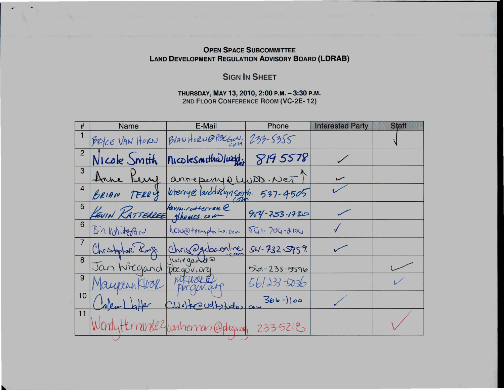## OPEN SPACE SUBCOMMITTEE LAND DEVELOPMENT REGULATION ADVISORY BOARD (LDRAB)

....

...

## **SIGN IN SHEET**

THURSDAY, MAY 13,2010,2:00 P.M.-3:30P.M. 2ND FLOOR CONFERENCE ROOM (VC-2E- 12)

| #              | <b>Name</b>              | E-Mail                                       | Phone              | <b>Interested Party</b> | <b>Staff</b> |
|----------------|--------------------------|----------------------------------------------|--------------------|-------------------------|--------------|
|                | BRYCE VAN HORN           | BVANHORN@PALGON, 233-5355                    |                    |                         |              |
| $\overline{2}$ | Nicole Smith             | nicolesmithalwdd:                            | 8195578            |                         |              |
| 3              |                          | anneperry plubD. Net                         |                    |                         |              |
| $\overline{4}$ | BRIAN<br>TERRY           | bterrye landclesignsooth. 537-4505           |                    |                         |              |
| 5              | KEVIN RATTERREE MANUSCON |                                              | $954 - 253 - 1730$ |                         |              |
| 6              | Bin Whiteford            | NCW@ transplaine. com                        | $561 - 709 - 2100$ |                         |              |
| $\overline{7}$ | Christopher Look         | Chris @gdocontine                            | $561 - 732 - 5959$ |                         |              |
| 8              | Jan Wiegand              | juregatora                                   | $561 - 233 - 5596$ |                         |              |
| 9              | Maurenn Klook            |                                              | 561233-5036        |                         |              |
| 10             |                          | $Lw$ e) traveltsteles com                    | $366 - 100$        |                         |              |
| 11             |                          | Wondytterrandez/witherman@phagon.org 2335212 |                    |                         |              |